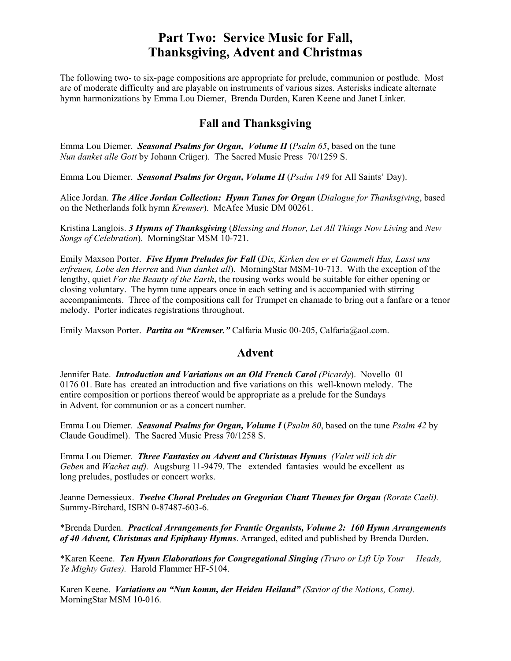## **Part Two: Service Music for Fall, Thanksgiving, Advent and Christmas**

The following two- to six-page compositions are appropriate for prelude, communion or postlude. Most are of moderate difficulty and are playable on instruments of various sizes. Asterisks indicate alternate hymn harmonizations by Emma Lou Diemer, Brenda Durden, Karen Keene and Janet Linker.

## **Fall and Thanksgiving**

 Emma Lou Diemer. *Seasonal Psalms for Organ, Volume II* (*Psalm 65*, based on the tune *Nun danket alle Gott* by Johann Crüger). The Sacred Music Press 70/1259 S.

Emma Lou Diemer. *Seasonal Psalms for Organ, Volume II* (*Psalm 149* for All Saints' Day).

Alice Jordan. *The Alice Jordan Collection: Hymn Tunes for Organ* (*Dialogue for Thanksgiving*, based on the Netherlands folk hymn *Kremser*). McAfee Music DM 00261.

Kristina Langlois. *3 Hymns of Thanksgiving* (*Blessing and Honor, Let All Things Now Living* and *New Songs of Celebration*). MorningStar MSM 10-721.

Emily Maxson Porter. *Five Hymn Preludes for Fall* (*Dix, Kirken den er et Gammelt Hus, Lasst uns erfreuen, Lobe den Herren* and *Nun danket all*). MorningStar MSM-10-713. With the exception of the lengthy, quiet *For the Beauty of the Earth*, the rousing works would be suitable for either opening or closing voluntary. The hymn tune appears once in each setting and is accompanied with stirring accompaniments. Three of the compositions call for Trumpet en chamade to bring out a fanfare or a tenor melody. Porter indicates registrations throughout.

Emily Maxson Porter. *Partita on "Kremser."* Calfaria Music 00-205, Calfaria@aol.com.

## **Advent**

 Jennifer Bate. *Introduction and Variations on an Old French Carol (Picardy*). Novello 01 0176 01. Bate has created an introduction and five variations on this well-known melody. The entire composition or portions thereof would be appropriate as a prelude for the Sundays in Advent, for communion or as a concert number.

Emma Lou Diemer. *Seasonal Psalms for Organ, Volume I* (*Psalm 80*, based on the tune *Psalm 42* by Claude Goudimel). The Sacred Music Press 70/1258 S.

 Emma Lou Diemer. *Three Fantasies on Advent and Christmas Hymns (Valet will ich dir Geben* and *Wachet auf).* Augsburg 11-9479. The extended fantasies would be excellent as long preludes, postludes or concert works.

Jeanne Demessieux. *Twelve Choral Preludes on Gregorian Chant Themes for Organ (Rorate Caeli).* Summy-Birchard, ISBN 0-87487-603-6.

\*Brenda Durden. *Practical Arrangements for Frantic Organists, Volume 2: 160 Hymn Arrangements of 40 Advent, Christmas and Epiphany Hymns*. Arranged, edited and published by Brenda Durden.

\*Karen Keene. *Ten Hymn Elaborations for Congregational Singing (Truro or Lift Up Your Heads, Ye Mighty Gates).* Harold Flammer HF-5104.

Karen Keene. *Variations on "Nun komm, der Heiden Heiland" (Savior of the Nations, Come).* MorningStar MSM 10-016.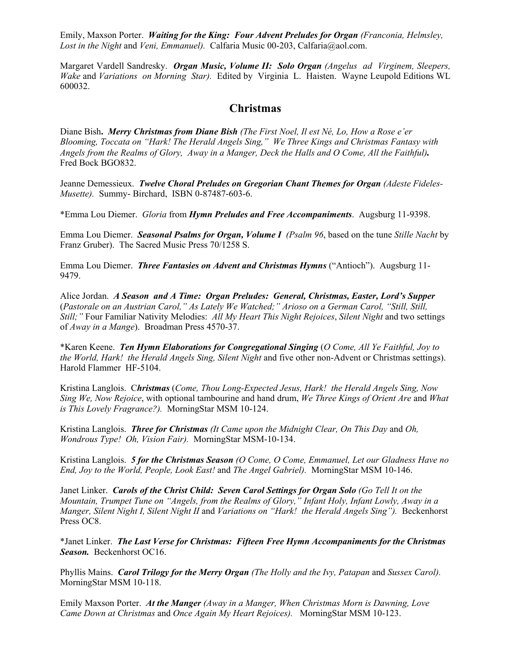Emily, Maxson Porter. *Waiting for the King: Four Advent Preludes for Organ (Franconia, Helmsley, Lost in the Night* and *Veni, Emmanuel).* Calfaria Music 00-203, Calfaria@aol.com.

Margaret Vardell Sandresky. *Organ Music, Volume II: Solo Organ (Angelus ad Virginem, Sleepers, Wake* and *Variations on Morning Star).* Edited by Virginia L. Haisten. Wayne Leupold Editions WL 600032.

## **Christmas**

Diane Bish**.** *Merry Christmas from Diane Bish (The First Noel, Il est Né, Lo, How a Rose e'er Blooming, Toccata on "Hark! The Herald Angels Sing," We Three Kings and Christmas Fantasy with Angels from the Realms of Glory, Away in a Manger, Deck the Halls and O Come, All the Faithful).* Fred Bock BGO832.

Jeanne Demessieux. *Twelve Choral Preludes on Gregorian Chant Themes for Organ (Adeste Fideles-Musette).* Summy- Birchard, ISBN 0-87487-603-6.

\*Emma Lou Diemer. *Gloria* from *Hymn Preludes and Free Accompaniments*. Augsburg 11-9398.

Emma Lou Diemer. *Seasonal Psalms for Organ, Volume I (Psalm 96*, based on the tune *Stille Nacht* by Franz Gruber). The Sacred Music Press 70/1258 S.

Emma Lou Diemer. *Three Fantasies on Advent and Christmas Hymns* ("Antioch"). Augsburg 11- 9479.

Alice Jordan. *A Season and A Time: Organ Preludes: General, Christmas, Easter, Lord's Supper* (*Pastorale on an Austrian Carol," As Lately We Watched;" Arioso on a German Carol, "Still, Still, Still;"* Four Familiar Nativity Melodies: *All My Heart This Night Rejoices*, *Silent Night* and two settings of *Away in a Mange*). Broadman Press 4570-37.

\*Karen Keene. *Ten Hymn Elaborations for Congregational Singing* (*O Come, All Ye Faithful, Joy to the World, Hark! the Herald Angels Sing, Silent Night* and five other non-Advent or Christmas settings). Harold Flammer HF-5104.

Kristina Langlois. C*hristmas* (*Come, Thou Long-Expected Jesus, Hark! the Herald Angels Sing, Now Sing We, Now Rejoice*, with optional tambourine and hand drum, *We Three Kings of Orient Are* and *What is This Lovely Fragrance?).* MorningStar MSM 10-124.

Kristina Langlois. *Three for Christmas (It Came upon the Midnight Clear, On This Day* and *Oh, Wondrous Type! Oh, Vision Fair).* MorningStar MSM-10-134.

Kristina Langlois. *5 for the Christmas Season (O Come, O Come, Emmanuel, Let our Gladness Have no End, Joy to the World, People, Look East!* and *The Angel Gabriel).* MorningStar MSM 10-146.

Janet Linker. *Carols of the Christ Child: Seven Carol Settings for Organ Solo (Go Tell It on the Mountain, Trumpet Tune on "Angels, from the Realms of Glory," Infant Holy, Infant Lowly, Away in a Manger, Silent Night I, Silent Night II* and *Variations on "Hark! the Herald Angels Sing").* Beckenhorst Press OC8.

\*Janet Linker. *The Last Verse for Christmas: Fifteen Free Hymn Accompaniments for the Christmas Season.* Beckenhorst OC16.

Phyllis Mains. *Carol Trilogy for the Merry Organ (The Holly and the Ivy, Patapan* and *Sussex Carol).* MorningStar MSM 10-118.

Emily Maxson Porter. *At the Manger (Away in a Manger, When Christmas Morn is Dawning, Love Came Down at Christmas* and *Once Again My Heart Rejoices).* MorningStar MSM 10-123.